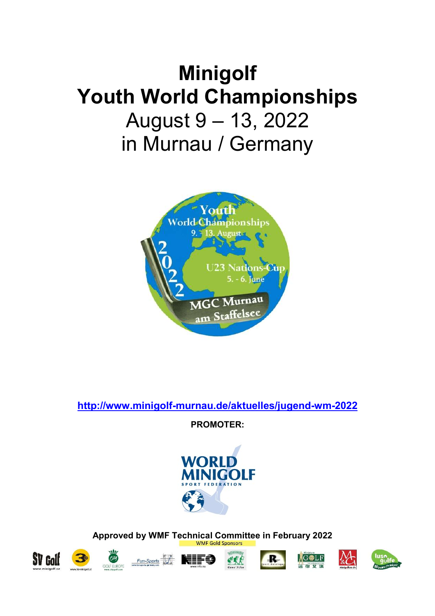# Minigolf Youth World Championships August 9 – 13, 2022 in Murnau / Germany



http://www.minigolf-murnau.de/aktuelles/jugend-wm-2022

PROMOTER:



Approved by WMF Technical Committee in February 2022













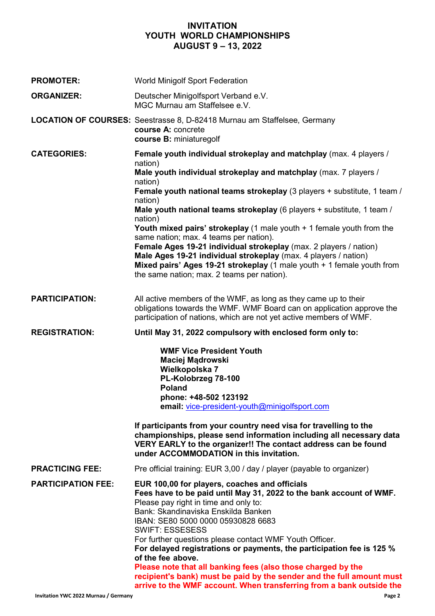### INVITATION YOUTH WORLD CHAMPIONSHIPS AUGUST 9 – 13, 2022

| <b>PROMOTER:</b>          | <b>World Minigolf Sport Federation</b>                                                                                                                                                                                                                                                                                                                                                                                                                                                                                                                                 |  |
|---------------------------|------------------------------------------------------------------------------------------------------------------------------------------------------------------------------------------------------------------------------------------------------------------------------------------------------------------------------------------------------------------------------------------------------------------------------------------------------------------------------------------------------------------------------------------------------------------------|--|
| <b>ORGANIZER:</b>         | Deutscher Minigolfsport Verband e.V.<br>MGC Murnau am Staffelsee e.V.                                                                                                                                                                                                                                                                                                                                                                                                                                                                                                  |  |
|                           | <b>LOCATION OF COURSES:</b> Seestrasse 8, D-82418 Murnau am Staffelsee, Germany<br>course A: concrete<br>course B: miniaturegolf                                                                                                                                                                                                                                                                                                                                                                                                                                       |  |
| <b>CATEGORIES:</b>        | Female youth individual strokeplay and matchplay (max. 4 players /<br>nation)                                                                                                                                                                                                                                                                                                                                                                                                                                                                                          |  |
|                           | Male youth individual strokeplay and matchplay (max. 7 players /<br>nation)                                                                                                                                                                                                                                                                                                                                                                                                                                                                                            |  |
|                           | Female youth national teams strokeplay (3 players + substitute, 1 team /<br>nation)                                                                                                                                                                                                                                                                                                                                                                                                                                                                                    |  |
|                           | Male youth national teams strokeplay (6 players + substitute, 1 team /<br>nation)                                                                                                                                                                                                                                                                                                                                                                                                                                                                                      |  |
|                           | Youth mixed pairs' strokeplay (1 male youth + 1 female youth from the<br>same nation; max. 4 teams per nation).                                                                                                                                                                                                                                                                                                                                                                                                                                                        |  |
|                           | Female Ages 19-21 individual strokeplay (max. 2 players / nation)<br>Male Ages 19-21 individual strokeplay (max. 4 players / nation)<br>Mixed pairs' Ages 19-21 strokeplay (1 male youth + 1 female youth from<br>the same nation; max. 2 teams per nation).                                                                                                                                                                                                                                                                                                           |  |
| <b>PARTICIPATION:</b>     | All active members of the WMF, as long as they came up to their<br>obligations towards the WMF. WMF Board can on application approve the<br>participation of nations, which are not yet active members of WMF.                                                                                                                                                                                                                                                                                                                                                         |  |
| <b>REGISTRATION:</b>      | Until May 31, 2022 compulsory with enclosed form only to:                                                                                                                                                                                                                                                                                                                                                                                                                                                                                                              |  |
|                           | <b>WMF Vice President Youth</b><br>Maciej Mądrowski<br>Wielkopolska 7<br>PL-Kolobrzeg 78-100<br><b>Poland</b><br>phone: +48-502 123192<br>email: vice-president-youth@minigolfsport.com                                                                                                                                                                                                                                                                                                                                                                                |  |
|                           | If participants from your country need visa for travelling to the<br>championships, please send information including all necessary data<br>VERY EARLY to the organizer!! The contact address can be found<br>under ACCOMMODATION in this invitation.                                                                                                                                                                                                                                                                                                                  |  |
| <b>PRACTICING FEE:</b>    | Pre official training: EUR 3,00 / day / player (payable to organizer)                                                                                                                                                                                                                                                                                                                                                                                                                                                                                                  |  |
| <b>PARTICIPATION FEE:</b> | EUR 100,00 for players, coaches and officials<br>Fees have to be paid until May 31, 2022 to the bank account of WMF.<br>Please pay right in time and only to:<br>Bank: Skandinaviska Enskilda Banken<br>IBAN: SE80 5000 0000 05930828 6683<br><b>SWIFT: ESSESESS</b><br>For further questions please contact WMF Youth Officer.<br>For delayed registrations or payments, the participation fee is 125 %<br>of the fee above.<br>Please note that all banking fees (also those charged by the<br>recipient's bank) must be paid by the sender and the full amount must |  |
|                           | arrive to the WMF account. When transferring from a bank outside the                                                                                                                                                                                                                                                                                                                                                                                                                                                                                                   |  |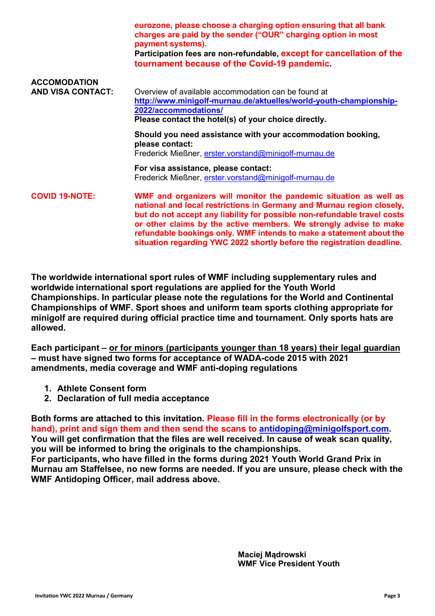|                                                 | eurozone, please choose a charging option ensuring that all bank<br>charges are paid by the sender ("OUR" charging option in most<br>payment systems).<br>Participation fees are non-refundable, except for cancellation of the<br>tournament because of the Covid-19 pandemic.                                                                                                                                                              |
|-------------------------------------------------|----------------------------------------------------------------------------------------------------------------------------------------------------------------------------------------------------------------------------------------------------------------------------------------------------------------------------------------------------------------------------------------------------------------------------------------------|
| <b>ACCOMODATION</b><br><b>AND VISA CONTACT:</b> | Overview of available accommodation can be found at<br>http://www.minigolf-murnau.de/aktuelles/world-youth-championship-<br>2022/accommodations/<br>Please contact the hotel(s) of your choice directly.                                                                                                                                                                                                                                     |
|                                                 | Should you need assistance with your accommodation booking,<br>please contact:<br>Frederick Mießner, erster.vorstand@minigolf-murnau.de                                                                                                                                                                                                                                                                                                      |
|                                                 | For visa assistance, please contact:<br>Frederick Mießner, erster.vorstand@minigolf-murnau.de                                                                                                                                                                                                                                                                                                                                                |
| <b>COVID 19-NOTE:</b>                           | WMF and organizers will monitor the pandemic situation as well as<br>national and local restrictions in Germany and Murnau region closely,<br>but do not accept any liability for possible non-refundable travel costs<br>or other claims by the active members. We strongly advise to make<br>refundable bookings only. WMF intends to make a statement about the<br>situation regarding YWC 2022 shortly before the registration deadline. |

The worldwide international sport rules of WMF including supplementary rules and worldwide international sport regulations are applied for the Youth World Championships. In particular please note the regulations for the World and Continental Championships of WMF. Sport shoes and uniform team sports clothing appropriate for minigolf are required during official practice time and tournament. Only sports hats are allowed.

Each participant – or for minors (participants younger than 18 years) their legal guardian – must have signed two forms for acceptance of WADA-code 2015 with 2021 amendments, media coverage and WMF anti-doping regulations

- 1. Athlete Consent form
- 2. Declaration of full media acceptance

Both forms are attached to this invitation. Please fill in the forms electronically (or by hand), print and sign them and then send the scans to antidoping@minigolfsport.com. You will get confirmation that the files are well received. In cause of weak scan quality, you will be informed to bring the originals to the championships. For participants, who have filled in the forms during 2021 Youth World Grand Prix in Murnau am Staffelsee, no new forms are needed. If you are unsure, please check with the WMF Antidoping Officer, mail address above.

> Maciej Mądrowski WMF Vice President Youth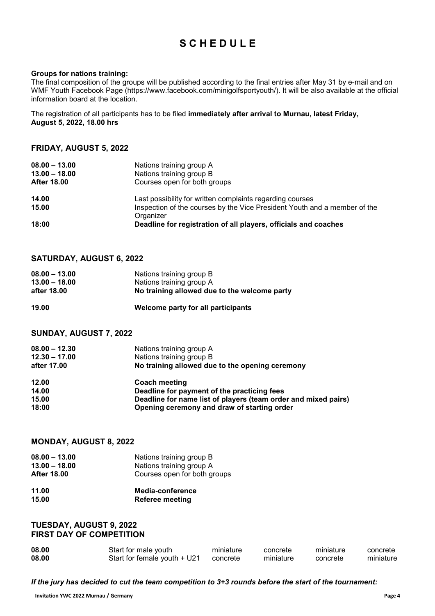# **SCHEDULE**

#### Groups for nations training:

The final composition of the groups will be published according to the final entries after May 31 by e-mail and on WMF Youth Facebook Page (https://www.facebook.com/minigolfsportyouth/). It will be also available at the official information board at the location.

The registration of all participants has to be filed immediately after arrival to Murnau, latest Friday, August 5, 2022, 18.00 hrs

### FRIDAY, AUGUST 5, 2022

| $08.00 - 13.00$    | Nations training group A                                                               |
|--------------------|----------------------------------------------------------------------------------------|
| $13.00 - 18.00$    | Nations training group B                                                               |
| <b>After 18.00</b> | Courses open for both groups                                                           |
| 14.00              | Last possibility for written complaints regarding courses                              |
| 15.00              | Inspection of the courses by the Vice President Youth and a member of the<br>Organizer |
| 18:00              | Deadline for registration of all players, officials and coaches                        |

### SATURDAY, AUGUST 6, 2022

| $08.00 - 13.00$ | Nations training group B                     |
|-----------------|----------------------------------------------|
| $13.00 - 18.00$ | Nations training group A                     |
| after 18.00     | No training allowed due to the welcome party |
| 19.00           | Welcome party for all participants           |

### SUNDAY, AUGUST 7, 2022

| $08.00 - 12.30$<br>$12.30 - 17.00$<br>after 17.00 | Nations training group A<br>Nations training group B<br>No training allowed due to the opening ceremony |
|---------------------------------------------------|---------------------------------------------------------------------------------------------------------|
| 12.00                                             | <b>Coach meeting</b>                                                                                    |
| 14.00                                             | Deadline for payment of the practicing fees                                                             |
| 15.00                                             | Deadline for name list of players (team order and mixed pairs)                                          |
| 18:00                                             | Opening ceremony and draw of starting order                                                             |

### MONDAY, AUGUST 8, 2022

| $08.00 - 13.00$    | Nations training group B     |
|--------------------|------------------------------|
| $13.00 - 18.00$    | Nations training group A     |
| <b>After 18.00</b> | Courses open for both groups |

| 11.00 | Media-conference       |
|-------|------------------------|
| 15.00 | <b>Referee meeting</b> |

### TUESDAY, AUGUST 9, 2022 FIRST DAY OF COMPETITION

| 08.00 | Start for male youth                  | miniature | concrete  | miniature | concrete  |
|-------|---------------------------------------|-----------|-----------|-----------|-----------|
| 08.00 | Start for female youth + U21 concrete |           | miniature | concrete  | miniature |

If the jury has decided to cut the team competition to 3+3 rounds before the start of the tournament: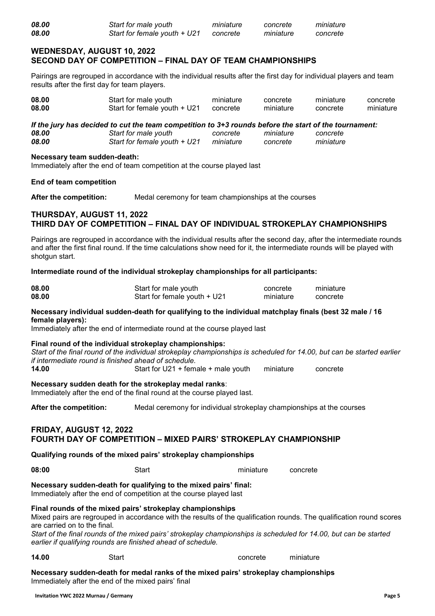### WEDNESDAY, AUGUST 10, 2022 SECOND DAY OF COMPETITION – FINAL DAY OF TEAM CHAMPIONSHIPS

Pairings are regrouped in accordance with the individual results after the first day for individual players and team results after the first day for team players.

| 08.00 | Start for male youth                  | miniature | concrete  | miniature | concrete  |
|-------|---------------------------------------|-----------|-----------|-----------|-----------|
| 08.00 | Start for female youth + U21 concrete |           | miniature | concrete  | miniature |

If the jury has decided to cut the team competition to 3+3 rounds before the start of the tournament:<br>08.00 Concrete miniature concrete 08.00 Start for male youth concrete miniature concrete<br>198.00 08.00 Start for female youth + U21 miniature concrete miniature Start for female youth + U21 miniature concrete miniature

#### Necessary team sudden-death:

Immediately after the end of team competition at the course played last

#### End of team competition

After the competition: Medal ceremony for team championships at the courses

### THURSDAY, AUGUST 11, 2022 THIRD DAY OF COMPETITION – FINAL DAY OF INDIVIDUAL STROKEPLAY CHAMPIONSHIPS

Pairings are regrouped in accordance with the individual results after the second day, after the intermediate rounds and after the first final round. If the time calculations show need for it, the intermediate rounds will be played with shotgun start.

#### Intermediate round of the individual strokeplay championships for all participants:

| 08.00 | Start for male youth         | concrete  | miniature |
|-------|------------------------------|-----------|-----------|
| 08.00 | Start for female youth + U21 | miniature | concrete  |

### Necessary individual sudden-death for qualifying to the individual matchplay finals (best 32 male / 16 female players):

Immediately after the end of intermediate round at the course played last

#### Final round of the individual strokeplay championships:

Start of the final round of the individual strokeplay championships is scheduled for 14.00, but can be started earlier if intermediate round is finished ahead of schedule.

14.00 Start for U21 + female + male youth miniature concrete

### Necessary sudden death for the strokeplay medal ranks:

Immediately after the end of the final round at the course played last.

After the competition: Medal ceremony for individual strokeplay championships at the courses

### FRIDAY, AUGUST 12, 2022 FOURTH DAY OF COMPETITION – MIXED PAIRS' STROKEPLAY CHAMPIONSHIP

Qualifying rounds of the mixed pairs' strokeplay championships

**08:00** Start miniature concrete

Necessary sudden-death for qualifying to the mixed pairs' final: Immediately after the end of competition at the course played last

### Final rounds of the mixed pairs' strokeplay championships

Mixed pairs are regrouped in accordance with the results of the qualification rounds. The qualification round scores are carried on to the final.

Start of the final rounds of the mixed pairs' strokeplay championships is scheduled for 14.00, but can be started earlier if qualifying rounds are finished ahead of schedule.

#### **14.00** Start Start Start Concrete miniature

Necessary sudden-death for medal ranks of the mixed pairs' strokeplay championships Immediately after the end of the mixed pairs' final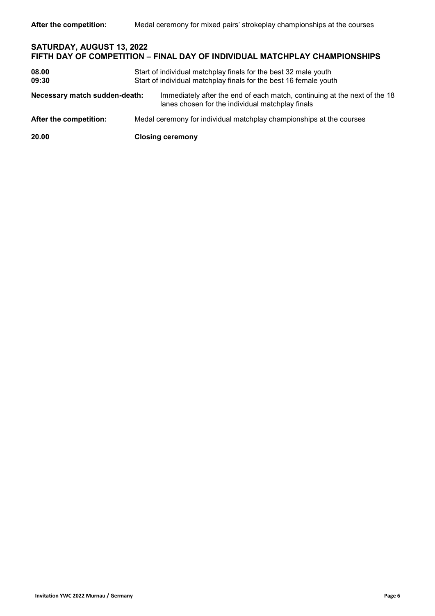| SATURDAY, AUGUST 13, 2022<br>FIFTH DAY OF COMPETITION - FINAL DAY OF INDIVIDUAL MATCHPLAY CHAMPIONSHIPS |  |                                                                                                                                      |
|---------------------------------------------------------------------------------------------------------|--|--------------------------------------------------------------------------------------------------------------------------------------|
| 08.00<br>09:30                                                                                          |  | Start of individual matchplay finals for the best 32 male youth<br>Start of individual matchplay finals for the best 16 female youth |
| Necessary match sudden-death:                                                                           |  | Immediately after the end of each match, continuing at the next of the 18<br>lanes chosen for the individual matchplay finals        |
| After the competition:                                                                                  |  | Medal ceremony for individual matchplay championships at the courses                                                                 |
| 20.00                                                                                                   |  | <b>Closing ceremony</b>                                                                                                              |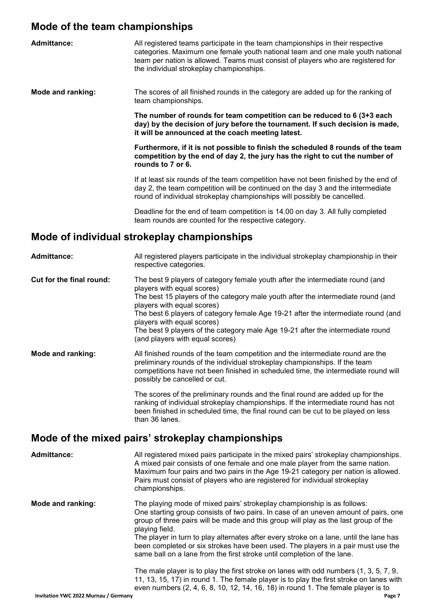# Mode of the team championships

| <b>Admittance:</b>       | All registered teams participate in the team championships in their respective<br>categories. Maximum one female youth national team and one male youth national<br>team per nation is allowed. Teams must consist of players who are registered for<br>the individual strokeplay championships. |
|--------------------------|--------------------------------------------------------------------------------------------------------------------------------------------------------------------------------------------------------------------------------------------------------------------------------------------------|
| <b>Mode and ranking:</b> | The scores of all finished rounds in the category are added up for the ranking of<br>team championships.                                                                                                                                                                                         |
|                          | The number of rounds for team competition can be reduced to 6 (3+3 each<br>day) by the decision of jury before the tournament. If such decision is made,<br>it will be announced at the coach meeting latest.                                                                                    |
|                          | Furthermore, if it is not possible to finish the scheduled 8 rounds of the team<br>competition by the end of day 2, the jury has the right to cut the number of<br>rounds to 7 or 6.                                                                                                             |
|                          | If at least six rounds of the team competition have not been finished by the end of<br>day 2, the team competition will be continued on the day 3 and the intermediate<br>round of individual strokeplay championships will possibly be cancelled.                                               |
|                          | Deadline for the end of team competition is 14.00 on day 3. All fully completed<br>team rounds are counted for the respective category.                                                                                                                                                          |
|                          | Mode of individual strokeplay championships                                                                                                                                                                                                                                                      |

respective categories. Cut for the final round: The best 9 players of category female youth after the intermediate round (and players with equal scores) The best 15 players of the category male youth after the intermediate round (and players with equal scores) The best 6 players of category female Age 19-21 after the intermediate round (and players with equal scores) The best 9 players of the category male Age 19-21 after the intermediate round (and players with equal scores) Mode and ranking: All finished rounds of the team competition and the intermediate round are the preliminary rounds of the individual strokeplay championships. If the team competitions have not been finished in scheduled time, the intermediate round will possibly be cancelled or cut.

Admittance: All registered players participate in the individual strokeplay championship in their

The scores of the preliminary rounds and the final round are added up for the ranking of individual strokeplay championships. If the intermediate round has not been finished in scheduled time, the final round can be cut to be played on less than 36 lanes.

# Mode of the mixed pairs' strokeplay championships

Admittance: All registered mixed pairs participate in the mixed pairs' strokeplay championships. A mixed pair consists of one female and one male player from the same nation. Maximum four pairs and two pairs in the Age 19-21 category per nation is allowed. Pairs must consist of players who are registered for individual strokeplay championships. Mode and ranking: The playing mode of mixed pairs' strokeplay championship is as follows: One starting group consists of two pairs. In case of an uneven amount of pairs, one group of three pairs will be made and this group will play as the last group of the playing field. The player in turn to play alternates after every stroke on a lane, until the lane has been completed or six strokes have been used. The players in a pair must use the same ball on a lane from the first stroke until completion of the lane. The male player is to play the first stroke on lanes with odd numbers (1, 3, 5, 7, 9, 11, 13, 15, 17) in round 1. The female player is to play the first stroke on lanes with even numbers (2, 4, 6, 8, 10, 12, 14, 16, 18) in round 1. The female player is to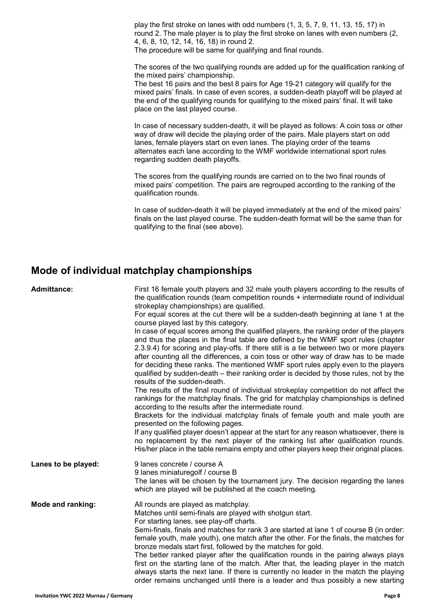play the first stroke on lanes with odd numbers (1, 3, 5, 7, 9, 11, 13, 15, 17) in round 2. The male player is to play the first stroke on lanes with even numbers (2, 4, 6, 8, 10, 12, 14, 16, 18) in round 2.

The procedure will be same for qualifying and final rounds.

The scores of the two qualifying rounds are added up for the qualification ranking of the mixed pairs' championship.

The best 16 pairs and the best 8 pairs for Age 19-21 category will qualify for the mixed pairs' finals. In case of even scores, a sudden-death playoff will be played at the end of the qualifying rounds for qualifying to the mixed pairs' final. It will take place on the last played course.

In case of necessary sudden-death, it will be played as follows: A coin toss or other way of draw will decide the playing order of the pairs. Male players start on odd lanes, female players start on even lanes. The playing order of the teams alternates each lane according to the WMF worldwide international sport rules regarding sudden death playoffs.

The scores from the qualifying rounds are carried on to the two final rounds of mixed pairs' competition. The pairs are regrouped according to the ranking of the qualification rounds.

In case of sudden-death it will be played immediately at the end of the mixed pairs' finals on the last played course. The sudden-death format will be the same than for qualifying to the final (see above).

# Mode of individual matchplay championships

| First 16 female youth players and 32 male youth players according to the results of<br>the qualification rounds (team competition rounds + intermediate round of individual<br>strokeplay championships) are qualified.<br>For equal scores at the cut there will be a sudden-death beginning at lane 1 at the<br>course played last by this category.<br>In case of equal scores among the qualified players, the ranking order of the players                                                                                                                                                                                                                                                                                                             |
|-------------------------------------------------------------------------------------------------------------------------------------------------------------------------------------------------------------------------------------------------------------------------------------------------------------------------------------------------------------------------------------------------------------------------------------------------------------------------------------------------------------------------------------------------------------------------------------------------------------------------------------------------------------------------------------------------------------------------------------------------------------|
| and thus the places in the final table are defined by the WMF sport rules (chapter<br>2.3.9.4) for scoring and play-offs. If there still is a tie between two or more players<br>after counting all the differences, a coin toss or other way of draw has to be made<br>for deciding these ranks. The mentioned WMF sport rules apply even to the players<br>qualified by sudden-death – their ranking order is decided by those rules, not by the<br>results of the sudden-death.                                                                                                                                                                                                                                                                          |
| The results of the final round of individual strokeplay competition do not affect the<br>rankings for the matchplay finals. The grid for matchplay championships is defined<br>according to the results after the intermediate round.<br>Brackets for the individual matchplay finals of female youth and male youth are<br>presented on the following pages.                                                                                                                                                                                                                                                                                                                                                                                               |
| If any qualified player doesn't appear at the start for any reason whatsoever, there is<br>no replacement by the next player of the ranking list after qualification rounds.<br>His/her place in the table remains empty and other players keep their original places.                                                                                                                                                                                                                                                                                                                                                                                                                                                                                      |
| 9 lanes concrete / course A<br>9 lanes miniaturegolf / course B<br>The lanes will be chosen by the tournament jury. The decision regarding the lanes<br>which are played will be published at the coach meeting.                                                                                                                                                                                                                                                                                                                                                                                                                                                                                                                                            |
| All rounds are played as matchplay.<br>Matches until semi-finals are played with shotgun start.<br>For starting lanes, see play-off charts.<br>Semi-finals, finals and matches for rank 3 are started at lane 1 of course B (in order:<br>female youth, male youth), one match after the other. For the finals, the matches for<br>bronze medals start first, followed by the matches for gold.<br>The better ranked player after the qualification rounds in the pairing always plays<br>first on the starting lane of the match. After that, the leading player in the match<br>always starts the next lane. If there is currently no leader in the match the playing<br>order remains unchanged until there is a leader and thus possibly a new starting |
|                                                                                                                                                                                                                                                                                                                                                                                                                                                                                                                                                                                                                                                                                                                                                             |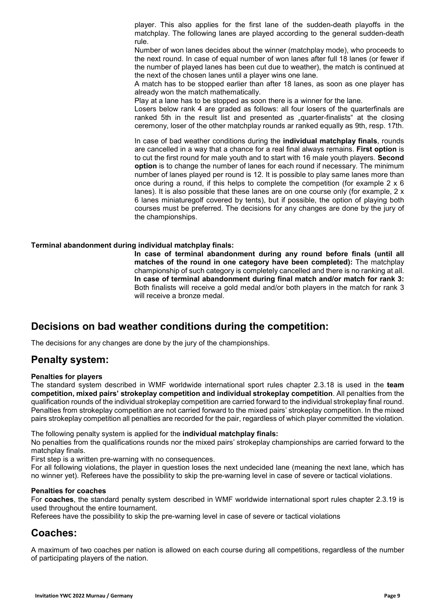player. This also applies for the first lane of the sudden-death playoffs in the matchplay. The following lanes are played according to the general sudden-death rule.

Number of won lanes decides about the winner (matchplay mode), who proceeds to the next round. In case of equal number of won lanes after full 18 lanes (or fewer if the number of played lanes has been cut due to weather), the match is continued at the next of the chosen lanes until a player wins one lane.

A match has to be stopped earlier than after 18 lanes, as soon as one player has already won the match mathematically.

Play at a lane has to be stopped as soon there is a winner for the lane.

Losers below rank 4 are graded as follows: all four losers of the quarterfinals are ranked 5th in the result list and presented as "quarter-finalists" at the closing ceremony, loser of the other matchplay rounds ar ranked equally as 9th, resp. 17th.

In case of bad weather conditions during the individual matchplay finals, rounds are cancelled in a way that a chance for a real final always remains. First option is to cut the first round for male youth and to start with 16 male youth players. Second option is to change the number of lanes for each round if necessary. The minimum number of lanes played per round is 12. It is possible to play same lanes more than once during a round, if this helps to complete the competition (for example  $2 \times 6$ ) lanes). It is also possible that these lanes are on one course only (for example, 2 x 6 lanes miniaturegolf covered by tents), but if possible, the option of playing both courses must be preferred. The decisions for any changes are done by the jury of the championships.

### Terminal abandonment during individual matchplay finals:

In case of terminal abandonment during any round before finals (until all matches of the round in one category have been completed): The matchplay championship of such category is completely cancelled and there is no ranking at all. In case of terminal abandonment during final match and/or match for rank 3: Both finalists will receive a gold medal and/or both players in the match for rank 3 will receive a bronze medal.

# Decisions on bad weather conditions during the competition:

The decisions for any changes are done by the jury of the championships.

### Penalty system:

#### Penalties for players

The standard system described in WMF worldwide international sport rules chapter 2.3.18 is used in the team competition, mixed pairs' strokeplay competition and individual strokeplay competition. All penalties from the qualification rounds of the individual strokeplay competition are carried forward to the individual strokeplay final round. Penalties from strokeplay competition are not carried forward to the mixed pairs' strokeplay competition. In the mixed pairs strokeplay competition all penalties are recorded for the pair, regardless of which player committed the violation.

The following penalty system is applied for the individual matchplay finals:

No penalties from the qualifications rounds nor the mixed pairs' strokeplay championships are carried forward to the matchplay finals.

First step is a written pre-warning with no consequences.

For all following violations, the player in question loses the next undecided lane (meaning the next lane, which has no winner yet). Referees have the possibility to skip the pre-warning level in case of severe or tactical violations.

#### Penalties for coaches

For coaches, the standard penalty system described in WMF worldwide international sport rules chapter 2.3.19 is used throughout the entire tournament.

Referees have the possibility to skip the pre-warning level in case of severe or tactical violations

## Coaches:

A maximum of two coaches per nation is allowed on each course during all competitions, regardless of the number of participating players of the nation.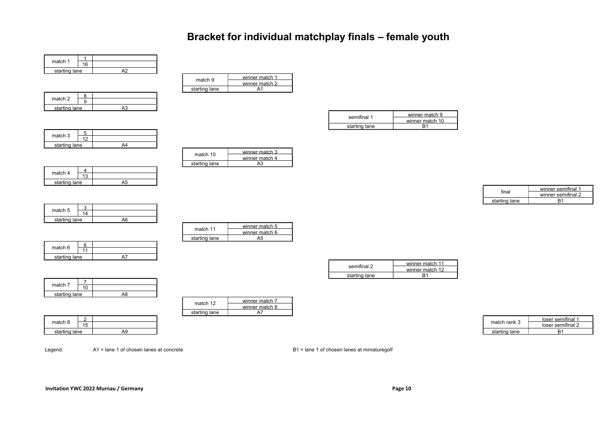# Bracket for individual matchplay finals – female youth

| match 1       | ءَ ، |  |
|---------------|------|--|
| starting lane |      |  |

| match 2       |  |  |
|---------------|--|--|
| starting lane |  |  |

| match 9       | winner match 1<br>winner match 2 |
|---------------|----------------------------------|
| starting lane |                                  |

match 10 winner match 3

starting lane

winner match 4<br>A3

| semifinal 1   | winner match 9  |
|---------------|-----------------|
|               | winner match 10 |
| starting lane |                 |

| match 3       |  |  |
|---------------|--|--|
| starting lane |  |  |
|               |  |  |

| match 4       |   |  |
|---------------|---|--|
|               | ָ |  |
| starting lane |   |  |

| match 5       |  |  |
|---------------|--|--|
| starting lane |  |  |

| match 11      | winner match 5 |
|---------------|----------------|
|               | winner match 6 |
| starting lane |                |

| semifinal 2   | winner match 11<br>winner match 12 |
|---------------|------------------------------------|
| starting lane |                                    |

| match 7       |  |  |
|---------------|--|--|
|               |  |  |
| starting lane |  |  |
|               |  |  |

| match 12      | winner match 7 |
|---------------|----------------|
|               | winner match 8 |
| starting lane |                |

|               |           |               | ______        | loser sem |
|---------------|-----------|---------------|---------------|-----------|
| match 8       | 15<br>ل ا |               | د match rank  | loser sem |
| starting lane |           | Δ0.<br>$\sim$ | starting lane | D.        |

|         |                      | starting lane |  |              |                   |
|---------|----------------------|---------------|--|--------------|-------------------|
|         |                      |               |  |              | loser semifinal   |
| match 8 | $\rightarrow$<br>ن ا |               |  | match rank 3 | loser semitinal ' |
|         |                      |               |  |              |                   |

| match rank 3  | loser semifinal 1 |
|---------------|-------------------|
|               | loser semifinal 2 |
| starting lane |                   |

final winner semifinal 1

starting lane

winner semifinal 2<br>B1

Legend: A1 = lane 1 of chosen lanes at concrete B1 = lane 1 of chosen lanes at miniaturegolf

11 starting lane A7

match 6  $\frac{6}{11}$ 

| ch 5        |  |  |
|-------------|--|--|
|             |  |  |
| arting lane |  |  |
|             |  |  |

| match 11      | winner match 5 |
|---------------|----------------|
|               | winner match 6 |
| starting lane |                |
|               |                |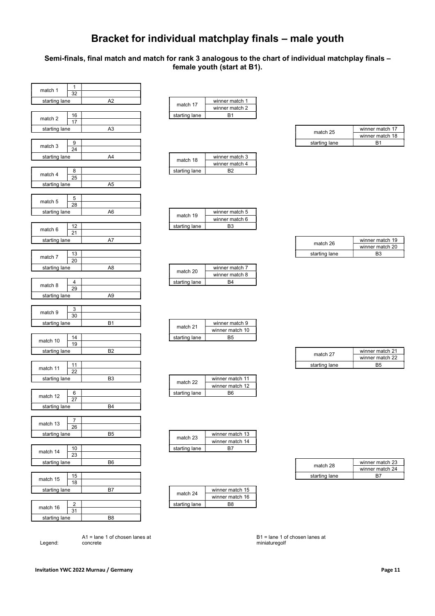# Bracket for individual matchplay finals – male youth

### Semi-finals, final match and match for rank 3 analogous to the chart of individual matchplay finals – female youth (start at B1).

| $\mathbf{1}$<br>match 1    |                |               |                 |               |                 |
|----------------------------|----------------|---------------|-----------------|---------------|-----------------|
| 32                         |                |               |                 |               |                 |
| starting lane              | A <sub>2</sub> | match 17      | winner match 1  |               |                 |
|                            |                |               | winner match 2  |               |                 |
| 16<br>match 2              |                | starting lane | <b>B1</b>       |               |                 |
| 17                         |                |               |                 |               |                 |
| starting lane              | A <sub>3</sub> |               |                 | match 25      | winner ma       |
|                            |                |               |                 |               | winner ma       |
| 9                          |                |               |                 | starting lane | <b>B1</b>       |
| match 3<br>$\overline{24}$ |                |               |                 |               |                 |
| starting lane              | A4             |               | winner match 3  |               |                 |
|                            |                | match 18      | winner match 4  |               |                 |
| 8                          |                | starting lane | <b>B2</b>       |               |                 |
| match 4<br>25              |                |               |                 |               |                 |
| starting lane              | A <sub>5</sub> |               |                 |               |                 |
|                            |                |               |                 |               |                 |
| 5                          |                |               |                 |               |                 |
| match 5<br>28              |                |               |                 |               |                 |
| starting lane              | A <sub>6</sub> |               | winner match 5  |               |                 |
|                            |                | match 19      | winner match 6  |               |                 |
| 12                         |                | starting lane | B <sub>3</sub>  |               |                 |
| match 6<br>21              |                |               |                 |               |                 |
| starting lane              | A7             |               |                 |               | winner ma       |
|                            |                |               |                 | match 26      | winner ma       |
| 13                         |                |               |                 | starting lane | <b>B3</b>       |
| match 7<br>20              |                |               |                 |               |                 |
| starting lane              | A8             |               | winner match 7  |               |                 |
|                            |                | match 20      | winner match 8  |               |                 |
| 4                          |                | starting lane | B4              |               |                 |
| match 8<br>29              |                |               |                 |               |                 |
| starting lane              | A <sub>9</sub> |               |                 |               |                 |
|                            |                |               |                 |               |                 |
| 3                          |                |               |                 |               |                 |
| match 9<br>30              |                |               |                 |               |                 |
| starting lane              | <b>B1</b>      |               | winner match 9  |               |                 |
|                            |                | match 21      | winner match 10 |               |                 |
| 14                         |                | starting lane | B <sub>5</sub>  |               |                 |
| match 10<br>19             |                |               |                 |               |                 |
| starting lane              | B <sub>2</sub> |               |                 |               | winner ma       |
|                            |                |               |                 | match 27      | winner ma       |
| 11                         |                |               |                 | starting lane | B <sub>5</sub>  |
| match 11<br>22             |                |               |                 |               |                 |
| starting lane              | B <sub>3</sub> |               | winner match 11 |               |                 |
|                            |                | match 22      | winner match 12 |               |                 |
| 6                          |                | starting lane | B <sub>6</sub>  |               |                 |
| match 12<br>27             |                |               |                 |               |                 |
| starting lane              | <b>B4</b>      |               |                 |               |                 |
|                            |                |               |                 |               |                 |
| 7                          |                |               |                 |               |                 |
| match 13<br>26             |                |               |                 |               |                 |
| starting lane              | B <sub>5</sub> |               | winner match 13 |               |                 |
|                            |                | match 23      | winner match 14 |               |                 |
| $10$                       |                |               | B7              |               |                 |
| match 14<br>23             |                | starting lane |                 |               |                 |
|                            | B <sub>6</sub> |               |                 |               |                 |
| starting lane              |                |               |                 | match 28      | winner ma       |
| 15                         |                |               |                 | starting lane | winner ma<br>B7 |
| match 15<br>18             |                |               |                 |               |                 |
|                            | B7             |               | winner match 15 |               |                 |
| starting lane              |                | match 24      |                 |               |                 |
|                            |                |               | winner match 16 |               |                 |
| 2<br>match 16              |                | starting lane | B <sub>8</sub>  |               |                 |
| 31                         |                |               |                 |               |                 |
| starting lane              | B <sub>8</sub> |               |                 |               |                 |

|               | winner match 1 |
|---------------|----------------|
| match 17      | winner match 2 |
| starting lane | R1             |

|               | winner match 3 |
|---------------|----------------|
| match 18      | winner match 4 |
| starting lane |                |

| match 19      | winner match 5 |
|---------------|----------------|
|               | winner match 6 |
| starting lane | R٩             |

| match 20      | winner match 7 |
|---------------|----------------|
|               | winner match 8 |
| starting lane |                |

|               | winner match 9  |
|---------------|-----------------|
| match 21      | winner match 10 |
| starting lane |                 |

|               | winner match 11 |  |
|---------------|-----------------|--|
| match 22      | winner match 12 |  |
| starting lane |                 |  |

|               | winner match 13 |
|---------------|-----------------|
| match 23      | winner match 14 |
| starting lane |                 |

|               | winner match 15 |
|---------------|-----------------|
| match 24      | winner match 16 |
| starting lane |                 |

| starting lane | ⌒◡ | match 25      | $\rightarrow$<br>winner match 1, |
|---------------|----|---------------|----------------------------------|
|               |    |               | .18<br>winner match              |
| natch 3       |    | starting lane | D.<br>◡                          |

| starting lane<br>' \ I           |  | match 26      | winner match 19             |
|----------------------------------|--|---------------|-----------------------------|
|                                  |  |               | $\sim$<br>winner match 20   |
| $\overline{ }$<br>∪ו<br>aatoh 7. |  | starting lane | <b>D<sub>3</sub></b><br>ں ب |

| starting lane                   | no.<br>◡ | match 27      | $\sim$<br>winner match 2. |
|---------------------------------|----------|---------------|---------------------------|
|                                 |          |               | $\sim$<br>winner match 22 |
| $\cdot$ $\cdot$ $\cdot$ $\cdot$ |          | starting lane | B <sub>5</sub>            |

| starting lane                  | B <sub>6</sub> | match 28      |  |
|--------------------------------|----------------|---------------|--|
|                                |                |               |  |
| 4F<br>∽<br>ں ا<br>$-1 - 1 - 1$ |                | starting lane |  |

|               | B1 = lane 1 of chosen lanes at |
|---------------|--------------------------------|
| miniaturegolf |                                |

Legend:

A1 = lane 1 of chosen lanes at concrete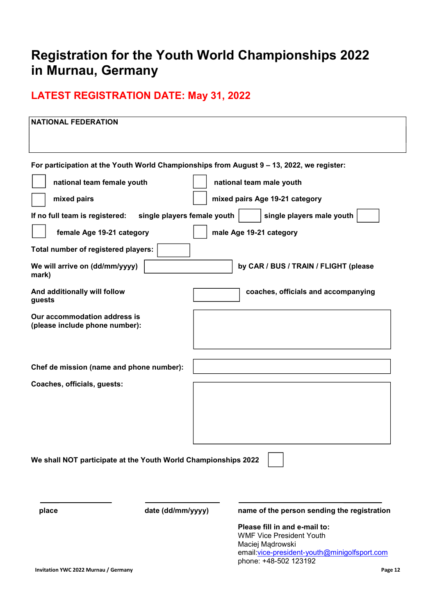# Registration for the Youth World Championships 2022 in Murnau, Germany

# LATEST REGISTRATION DATE: May 31, 2022

| <b>NATIONAL FEDERATION</b>                                     |                             |                                                                                                                                                                |
|----------------------------------------------------------------|-----------------------------|----------------------------------------------------------------------------------------------------------------------------------------------------------------|
|                                                                |                             | For participation at the Youth World Championships from August 9 - 13, 2022, we register:                                                                      |
| national team female youth                                     |                             | national team male youth                                                                                                                                       |
| mixed pairs                                                    |                             | mixed pairs Age 19-21 category                                                                                                                                 |
| If no full team is registered:                                 | single players female youth | single players male youth                                                                                                                                      |
| female Age 19-21 category                                      |                             | male Age 19-21 category                                                                                                                                        |
| Total number of registered players:                            |                             |                                                                                                                                                                |
| We will arrive on (dd/mm/yyyy)<br>mark)                        |                             | by CAR / BUS / TRAIN / FLIGHT (please                                                                                                                          |
| And additionally will follow<br>guests                         |                             | coaches, officials and accompanying                                                                                                                            |
| Our accommodation address is<br>(please include phone number): |                             |                                                                                                                                                                |
| Chef de mission (name and phone number):                       |                             |                                                                                                                                                                |
| Coaches, officials, guests:                                    |                             |                                                                                                                                                                |
| We shall NOT participate at the Youth World Championships 2022 |                             |                                                                                                                                                                |
| place                                                          | date (dd/mm/yyyy)           | name of the person sending the registration                                                                                                                    |
|                                                                |                             | Please fill in and e-mail to:<br><b>WMF Vice President Youth</b><br>Maciej Mądrowski<br>email: vice-president-youth@minigolfsport.com<br>phone: +48-502 123192 |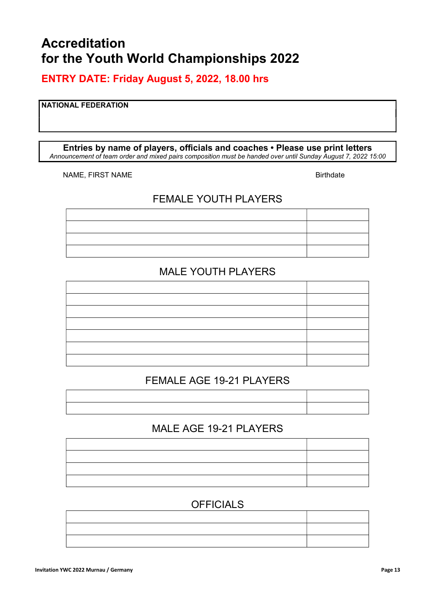# Accreditation for the Youth World Championships 2022

# ENTRY DATE: Friday August 5, 2022, 18.00 hrs

### NATIONAL FEDERATION

#### Entries by name of players, officials and coaches • Please use print letters Announcement of team order and mixed pairs composition must be handed over until Sunday August 7, 2022 15:00

NAME, FIRST NAME Birthdate

# FEMALE YOUTH PLAYERS



# MALE YOUTH PLAYERS

# FEMALE AGE 19-21 PLAYERS

# MALE AGE 19-21 PLAYERS

# **OFFICIALS**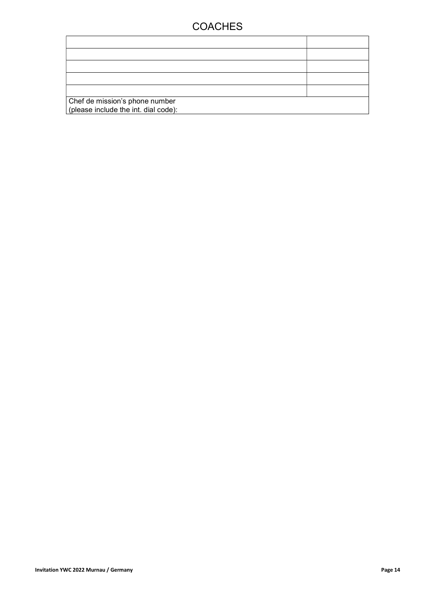# **COACHES**

| Chef de mission's phone number<br>(please include the int. dial code): |  |  |
|------------------------------------------------------------------------|--|--|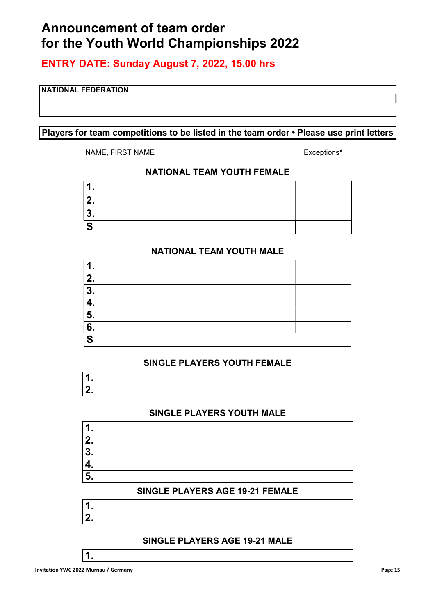# Announcement of team order for the Youth World Championships 2022

ENTRY DATE: Sunday August 7, 2022, 15.00 hrs

### NATIONAL FEDERATION

### Players for team competitions to be listed in the team order • Please use print letters

NAME, FIRST NAME **Exceptions**\*

### NATIONAL TEAM YOUTH FEMALE

| ≏ |  |
|---|--|
|   |  |

### NATIONAL TEAM YOUTH MALE

| $\mathbf 1$ .           |  |
|-------------------------|--|
| 2.                      |  |
| 3.                      |  |
| 4.                      |  |
| 5.                      |  |
| 6.                      |  |
| $\overline{\mathbf{s}}$ |  |

### SINGLE PLAYERS YOUTH FEMALE

### SINGLE PLAYERS YOUTH MALE

| я              |  |
|----------------|--|
| c<br>Æ.,       |  |
| ≏<br>$\bullet$ |  |
|                |  |
|                |  |

### SINGLE PLAYERS AGE 19-21 FEMALE

| ٠, |  |
|----|--|

### SINGLE PLAYERS AGE 19-21 MALE

1.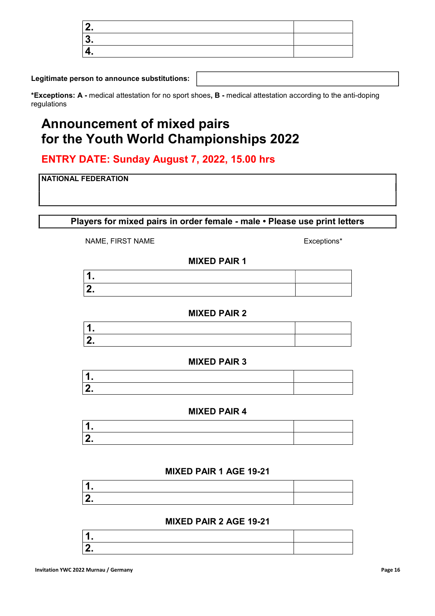Legitimate person to announce substitutions:

\*Exceptions: A - medical attestation for no sport shoes, B - medical attestation according to the anti-doping regulations

# Announcement of mixed pairs for the Youth World Championships 2022

# ENTRY DATE: Sunday August 7, 2022, 15.00 hrs

### NATIONAL FEDERATION

Players for mixed pairs in order female - male • Please use print letters

NAME, FIRST NAME Exceptions\*

## MIXED PAIR 1

### MIXED PAIR 2

### MIXED PAIR 3

### MIXED PAIR 4

### MIXED PAIR 1 AGE 19-21

### MIXED PAIR 2 AGE 19-21